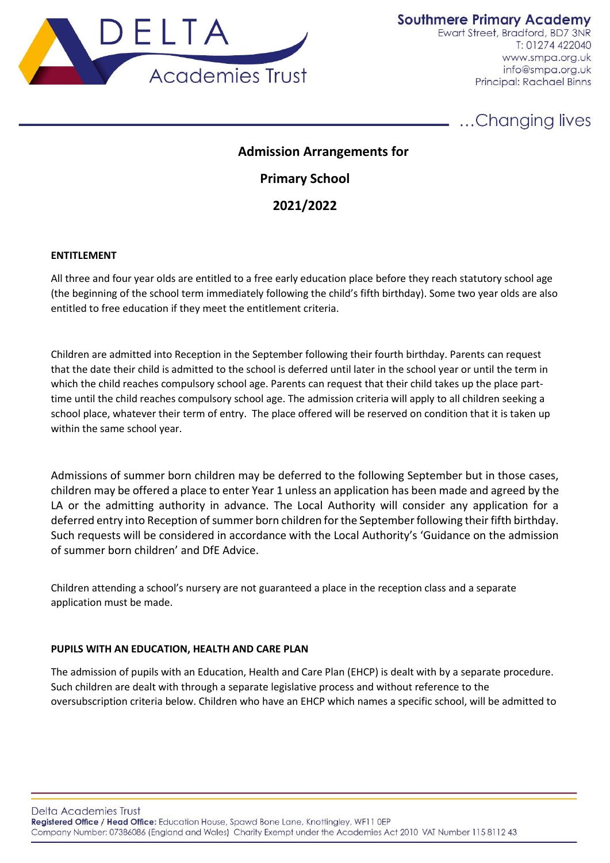

**Southmere Primary Academy** 

Ewart Street, Bradford, BD7 3NR T: 01274 422040 www.smpa.org.uk info@smpa.org.uk Principal: Rachael Binns

...Changing lives

# **Admission Arrangements for**

**Primary School**

**2021/2022**

# **ENTITLEMENT**

All three and four year olds are entitled to a free early education place before they reach statutory school age (the beginning of the school term immediately following the child's fifth birthday). Some two year olds are also entitled to free education if they meet the entitlement criteria.

Children are admitted into Reception in the September following their fourth birthday. Parents can request that the date their child is admitted to the school is deferred until later in the school year or until the term in which the child reaches compulsory school age. Parents can request that their child takes up the place parttime until the child reaches compulsory school age. The admission criteria will apply to all children seeking a school place, whatever their term of entry. The place offered will be reserved on condition that it is taken up within the same school year.

Admissions of summer born children may be deferred to the following September but in those cases, children may be offered a place to enter Year 1 unless an application has been made and agreed by the LA or the admitting authority in advance. The Local Authority will consider any application for a deferred entry into Reception of summer born children for the September following their fifth birthday. Such requests will be considered in accordance with the Local Authority's 'Guidance on the admission of summer born children' and DfE Advice.

Children attending a school's nursery are not guaranteed a place in the reception class and a separate application must be made.

# **PUPILS WITH AN EDUCATION, HEALTH AND CARE PLAN**

The admission of pupils with an Education, Health and Care Plan (EHCP) is dealt with by a separate procedure. Such children are dealt with through a separate legislative process and without reference to the oversubscription criteria below. Children who have an EHCP which names a specific school, will be admitted to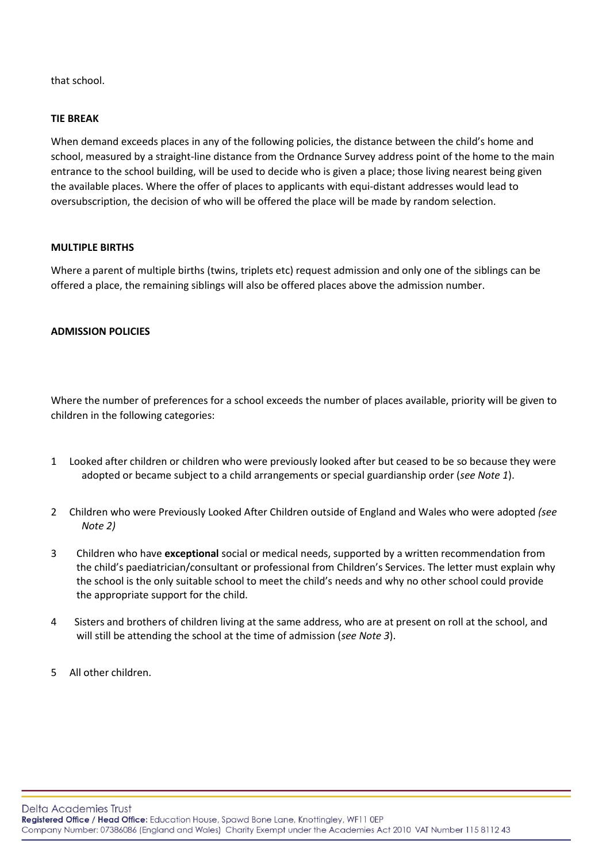that school.

## **TIE BREAK**

When demand exceeds places in any of the following policies, the distance between the child's home and school, measured by a straight-line distance from the Ordnance Survey address point of the home to the main entrance to the school building, will be used to decide who is given a place; those living nearest being given the available places. Where the offer of places to applicants with equi-distant addresses would lead to oversubscription, the decision of who will be offered the place will be made by random selection.

## **MULTIPLE BIRTHS**

Where a parent of multiple births (twins, triplets etc) request admission and only one of the siblings can be offered a place, the remaining siblings will also be offered places above the admission number.

## **ADMISSION POLICIES**

Where the number of preferences for a school exceeds the number of places available, priority will be given to children in the following categories:

- 1 Looked after children or children who were previously looked after but ceased to be so because they were adopted or became subject to a child arrangements or special guardianship order (*see Note 1*).
- 2 Children who were Previously Looked After Children outside of England and Wales who were adopted *(see Note 2)*
- 3 Children who have **exceptional** social or medical needs, supported by a written recommendation from the child's paediatrician/consultant or professional from Children's Services. The letter must explain why the school is the only suitable school to meet the child's needs and why no other school could provide the appropriate support for the child.
- 4 Sisters and brothers of children living at the same address, who are at present on roll at the school, and will still be attending the school at the time of admission (*see Note 3*).
- 5 All other children.